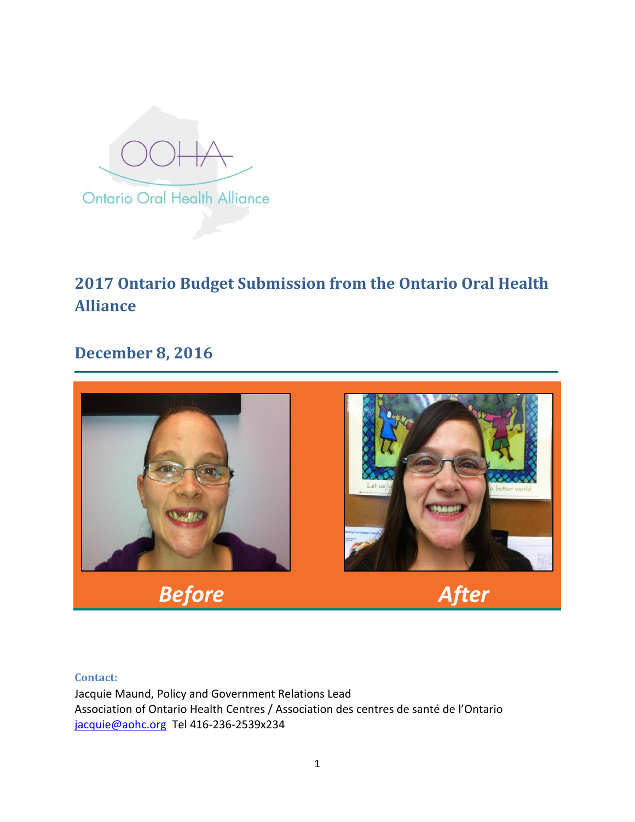

# **2017 Ontario Budget Submission from the Ontario Oral Health Alliance**

## **December 8, 2016**



#### **Contact:**

Jacquie Maund, Policy and Government Relations Lead Association of Ontario Health Centres / Association des centres de santé de l'Ontario [jacquie@aohc.org](mailto:jacquie@aohc.org) Tel 416-236-2539x234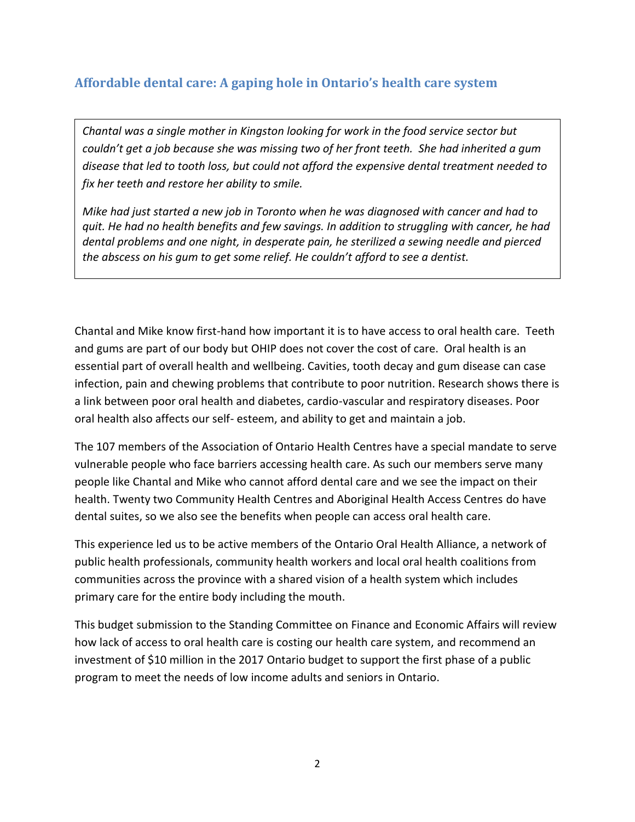## **Affordable dental care: A gaping hole in Ontario's health care system**

*Chantal was a single mother in Kingston looking for work in the food service sector but couldn't get a job because she was missing two of her front teeth. She had inherited a gum disease that led to tooth loss, but could not afford the expensive dental treatment needed to fix her teeth and restore her ability to smile.* 

*Mike had just started a new job in Toronto when he was diagnosed with cancer and had to quit. He had no health benefits and few savings. In addition to struggling with cancer, he had dental problems and one night, in desperate pain, he sterilized a sewing needle and pierced the abscess on his gum to get some relief. He couldn't afford to see a dentist.*

Chantal and Mike know first-hand how important it is to have access to oral health care. Teeth and gums are part of our body but OHIP does not cover the cost of care. Oral health is an essential part of overall health and wellbeing. Cavities, tooth decay and gum disease can case infection, pain and chewing problems that contribute to poor nutrition. Research shows there is a link between poor oral health and diabetes, cardio-vascular and respiratory diseases. Poor oral health also affects our self- esteem, and ability to get and maintain a job.

The 107 members of the Association of Ontario Health Centres have a special mandate to serve vulnerable people who face barriers accessing health care. As such our members serve many people like Chantal and Mike who cannot afford dental care and we see the impact on their health. Twenty two Community Health Centres and Aboriginal Health Access Centres do have dental suites, so we also see the benefits when people can access oral health care.

This experience led us to be active members of the Ontario Oral Health Alliance, a network of public health professionals, community health workers and local oral health coalitions from communities across the province with a shared vision of a health system which includes primary care for the entire body including the mouth.

This budget submission to the Standing Committee on Finance and Economic Affairs will review how lack of access to oral health care is costing our health care system, and recommend an investment of \$10 million in the 2017 Ontario budget to support the first phase of a public program to meet the needs of low income adults and seniors in Ontario.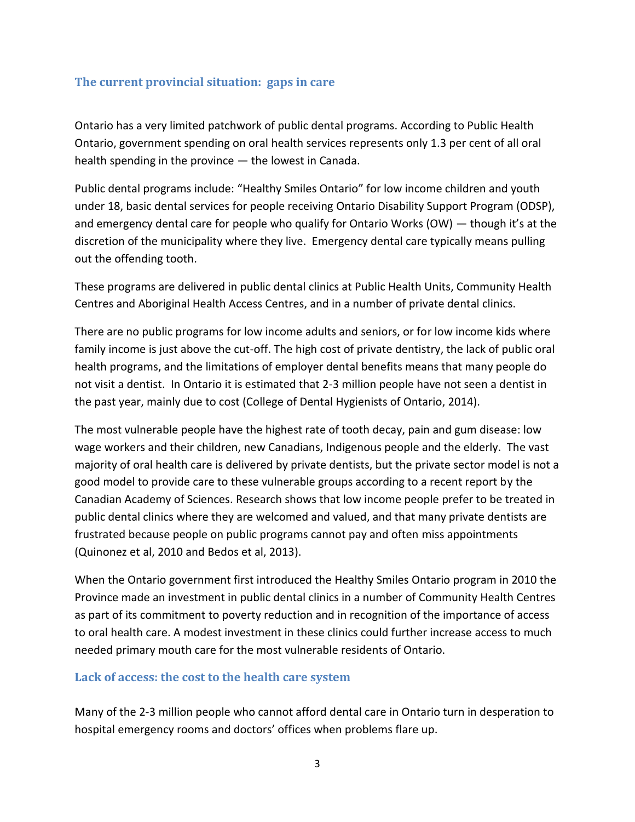## **The current provincial situation: gaps in care**

Ontario has a very limited patchwork of public dental programs. According to Public Health Ontario, government spending on oral health services represents only 1.3 per cent of all oral health spending in the province — the lowest in Canada.

Public dental programs include: "Healthy Smiles Ontario" for low income children and youth under 18, basic dental services for people receiving Ontario Disability Support Program (ODSP), and emergency dental care for people who qualify for Ontario Works (OW) — though it's at the discretion of the municipality where they live. Emergency dental care typically means pulling out the offending tooth.

These programs are delivered in public dental clinics at Public Health Units, Community Health Centres and Aboriginal Health Access Centres, and in a number of private dental clinics.

There are no public programs for low income adults and seniors, or for low income kids where family income is just above the cut-off. The high cost of private dentistry, the lack of public oral health programs, and the limitations of employer dental benefits means that many people do not visit a dentist. In Ontario it is estimated that 2-3 million people have not seen a dentist in the past year, mainly due to cost (College of Dental Hygienists of Ontario, 2014).

The most vulnerable people have the highest rate of tooth decay, pain and gum disease: low wage workers and their children, new Canadians, Indigenous people and the elderly. The vast majority of oral health care is delivered by private dentists, but the private sector model is not a good model to provide care to these vulnerable groups according to a recent report by the Canadian Academy of Sciences. Research shows that low income people prefer to be treated in public dental clinics where they are welcomed and valued, and that many private dentists are frustrated because people on public programs cannot pay and often miss appointments (Quinonez et al, 2010 and Bedos et al, 2013).

When the Ontario government first introduced the Healthy Smiles Ontario program in 2010 the Province made an investment in public dental clinics in a number of Community Health Centres as part of its commitment to poverty reduction and in recognition of the importance of access to oral health care. A modest investment in these clinics could further increase access to much needed primary mouth care for the most vulnerable residents of Ontario.

## **Lack of access: the cost to the health care system**

Many of the 2-3 million people who cannot afford dental care in Ontario turn in desperation to hospital emergency rooms and doctors' offices when problems flare up.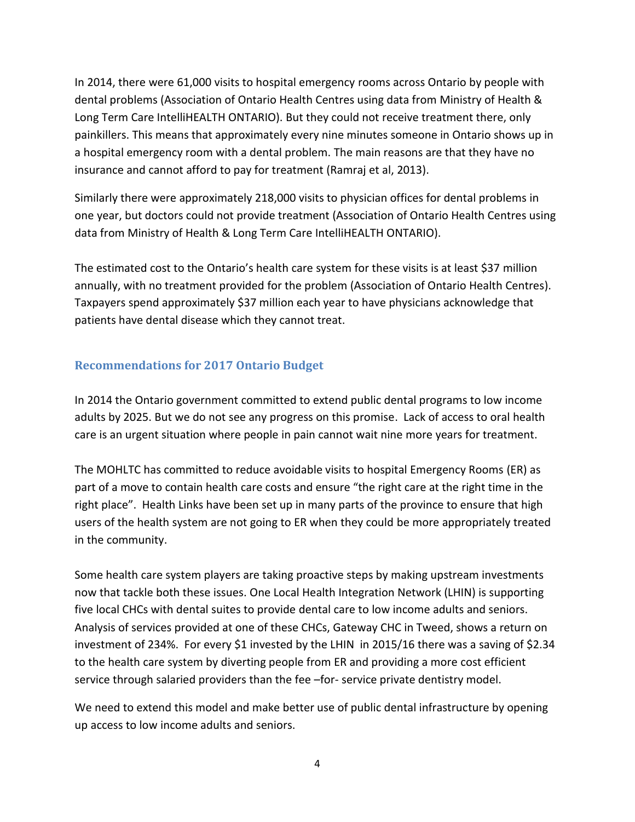In 2014, there were 61,000 visits to hospital emergency rooms across Ontario by people with dental problems (Association of Ontario Health Centres using data from Ministry of Health & Long Term Care IntelliHEALTH ONTARIO). But they could not receive treatment there, only painkillers. This means that approximately every nine minutes someone in Ontario shows up in a hospital emergency room with a dental problem. The main reasons are that they have no insurance and cannot afford to pay for treatment (Ramraj et al, 2013).

Similarly there were approximately 218,000 visits to physician offices for dental problems in one year, but doctors could not provide treatment (Association of Ontario Health Centres using data from Ministry of Health & Long Term Care IntelliHEALTH ONTARIO).

The estimated cost to the Ontario's health care system for these visits is at least \$37 million annually, with no treatment provided for the problem (Association of Ontario Health Centres). Taxpayers spend approximately \$37 million each year to have physicians acknowledge that patients have dental disease which they cannot treat.

## **Recommendations for 2017 Ontario Budget**

In 2014 the Ontario government committed to extend public dental programs to low income adults by 2025. But we do not see any progress on this promise. Lack of access to oral health care is an urgent situation where people in pain cannot wait nine more years for treatment.

The MOHLTC has committed to reduce avoidable visits to hospital Emergency Rooms (ER) as part of a move to contain health care costs and ensure "the right care at the right time in the right place". Health Links have been set up in many parts of the province to ensure that high users of the health system are not going to ER when they could be more appropriately treated in the community.

Some health care system players are taking proactive steps by making upstream investments now that tackle both these issues. One Local Health Integration Network (LHIN) is supporting five local CHCs with dental suites to provide dental care to low income adults and seniors. Analysis of services provided at one of these CHCs, Gateway CHC in Tweed, shows a return on investment of 234%. For every \$1 invested by the LHIN in 2015/16 there was a saving of \$2.34 to the health care system by diverting people from ER and providing a more cost efficient service through salaried providers than the fee –for- service private dentistry model.

We need to extend this model and make better use of public dental infrastructure by opening up access to low income adults and seniors.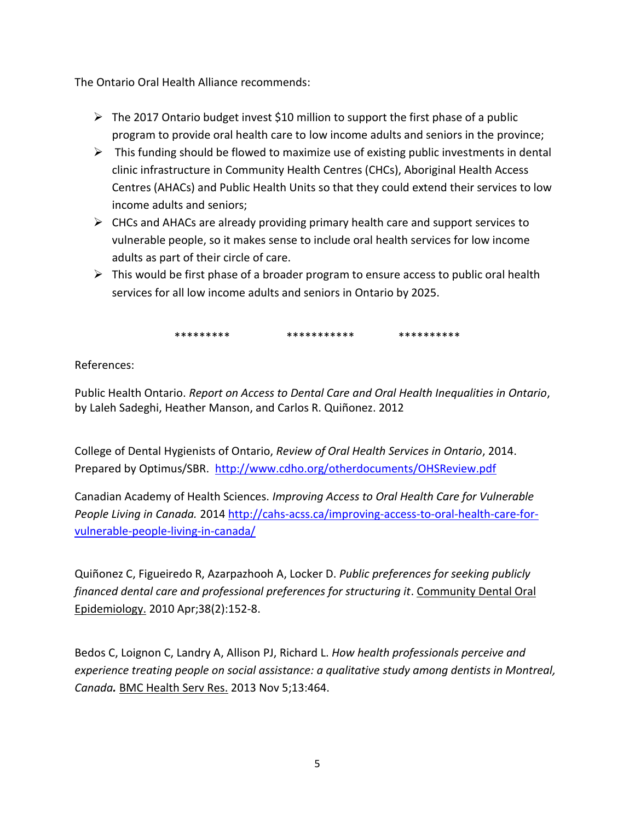The Ontario Oral Health Alliance recommends:

- $\triangleright$  The 2017 Ontario budget invest \$10 million to support the first phase of a public program to provide oral health care to low income adults and seniors in the province;
- $\triangleright$  This funding should be flowed to maximize use of existing public investments in dental clinic infrastructure in Community Health Centres (CHCs), Aboriginal Health Access Centres (AHACs) and Public Health Units so that they could extend their services to low income adults and seniors;
- $\triangleright$  CHCs and AHACs are already providing primary health care and support services to vulnerable people, so it makes sense to include oral health services for low income adults as part of their circle of care.
- $\triangleright$  This would be first phase of a broader program to ensure access to public oral health services for all low income adults and seniors in Ontario by 2025.

\*\*\*\*\*\*\*\*\* \*\*\*\*\*\*\*\*\*\*\* \*\*\*\*\*\*\*\*\*\*

References:

Public Health Ontario. *Report on Access to Dental Care and Oral Health Inequalities in Ontario*, by Laleh Sadeghi, Heather Manson, and Carlos R. Quiñonez. 2012

College of Dental Hygienists of Ontario, *Review of Oral Health Services in Ontario*, 2014. Prepared by Optimus/SBR. <http://www.cdho.org/otherdocuments/OHSReview.pdf>

Canadian Academy of Health Sciences. *Improving Access to Oral Health Care for Vulnerable People Living in Canada.* 2014 [http://cahs-acss.ca/improving-access-to-oral-health-care-for](http://cahs-acss.ca/improving-access-to-oral-health-care-for-vulnerable-people-living-in-canada/)[vulnerable-people-living-in-canada/](http://cahs-acss.ca/improving-access-to-oral-health-care-for-vulnerable-people-living-in-canada/)

[Quiñonez C,](https://www.ncbi.nlm.nih.gov/pubmed/?term=Qui%C3%B1onez%20C%5BAuthor%5D&cauthor=true&cauthor_uid=20447197) [Figueiredo R,](https://www.ncbi.nlm.nih.gov/pubmed/?term=Figueiredo%20R%5BAuthor%5D&cauthor=true&cauthor_uid=20447197) [Azarpazhooh A,](https://www.ncbi.nlm.nih.gov/pubmed/?term=Azarpazhooh%20A%5BAuthor%5D&cauthor=true&cauthor_uid=20447197) [Locker D.](https://www.ncbi.nlm.nih.gov/pubmed/?term=Locker%20D%5BAuthor%5D&cauthor=true&cauthor_uid=20447197) *Public preferences for seeking publicly financed dental care and professional preferences for structuring it*. Community Dental Oral Epidemiology. 2010 Apr;38(2):152-8.

[Bedos C,](https://www.ncbi.nlm.nih.gov/pubmed/?term=Bedos%20C%5BAuthor%5D&cauthor=true&cauthor_uid=24192504) [Loignon C,](https://www.ncbi.nlm.nih.gov/pubmed/?term=Loignon%20C%5BAuthor%5D&cauthor=true&cauthor_uid=24192504) [Landry A,](https://www.ncbi.nlm.nih.gov/pubmed/?term=Landry%20A%5BAuthor%5D&cauthor=true&cauthor_uid=24192504) [Allison PJ,](https://www.ncbi.nlm.nih.gov/pubmed/?term=Allison%20PJ%5BAuthor%5D&cauthor=true&cauthor_uid=24192504) [Richard L.](https://www.ncbi.nlm.nih.gov/pubmed/?term=Richard%20L%5BAuthor%5D&cauthor=true&cauthor_uid=24192504) *How health professionals perceive and experience treating people on social assistance: a qualitative study among dentists in Montreal, Canada.* [BMC Health Serv Res.](https://www.ncbi.nlm.nih.gov/pubmed/24192504) 2013 Nov 5;13:464.